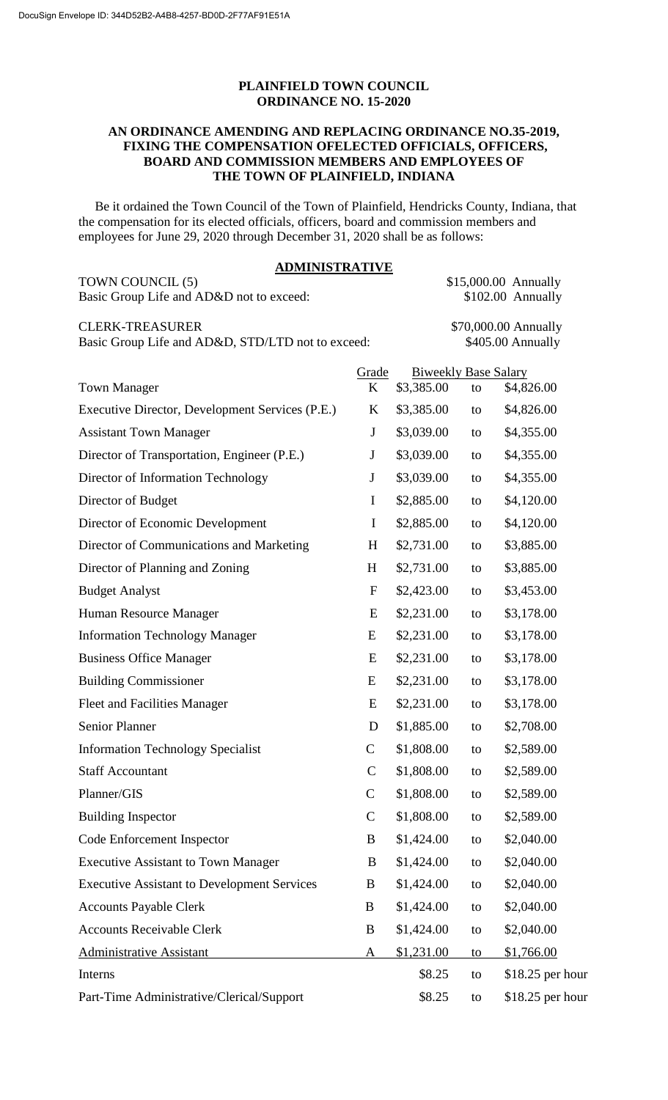## **PLAINFIELD TOWN COUNCIL ORDINANCE NO. 15-2020**

#### **AN ORDINANCE AMENDING AND REPLACING ORDINANCE NO.35-2019, FIXING THE COMPENSATION OFELECTED OFFICIALS, OFFICERS, BOARD AND COMMISSION MEMBERS AND EMPLOYEES OF THE TOWN OF PLAINFIELD, INDIANA**

 Be it ordained the Town Council of the Town of Plainfield, Hendricks County, Indiana, that the compensation for its elected officials, officers, board and commission members and employees for June 29, 2020 through December 31, 2020 shall be as follows:

| <b>ADMINISTRATIVE</b>                                                       |              |            |                             |                                           |
|-----------------------------------------------------------------------------|--------------|------------|-----------------------------|-------------------------------------------|
| TOWN COUNCIL (5)<br>Basic Group Life and AD&D not to exceed:                |              |            |                             | \$15,000.00 Annually<br>\$102.00 Annually |
| <b>CLERK-TREASURER</b><br>Basic Group Life and AD&D, STD/LTD not to exceed: |              |            |                             | \$70,000.00 Annually<br>\$405.00 Annually |
|                                                                             | Grade        |            | <b>Biweekly Base Salary</b> |                                           |
| <b>Town Manager</b>                                                         | K            | \$3,385.00 | to                          | \$4,826.00                                |
| Executive Director, Development Services (P.E.)                             | K            | \$3,385.00 | to                          | \$4,826.00                                |
| <b>Assistant Town Manager</b>                                               | $\mathbf J$  | \$3,039.00 | to                          | \$4,355.00                                |
| Director of Transportation, Engineer (P.E.)                                 | $\mathbf J$  | \$3,039.00 | to                          | \$4,355.00                                |
| Director of Information Technology                                          | $\mathbf J$  | \$3,039.00 | to                          | \$4,355.00                                |
| Director of Budget                                                          | $\mathbf I$  | \$2,885.00 | to                          | \$4,120.00                                |
| Director of Economic Development                                            | $\mathbf I$  | \$2,885.00 | to                          | \$4,120.00                                |
| Director of Communications and Marketing                                    | H            | \$2,731.00 | to                          | \$3,885.00                                |
| Director of Planning and Zoning                                             | H            | \$2,731.00 | to                          | \$3,885.00                                |
| <b>Budget Analyst</b>                                                       | $\mathbf{F}$ | \$2,423.00 | to                          | \$3,453.00                                |
| Human Resource Manager                                                      | E            | \$2,231.00 | to                          | \$3,178.00                                |
| <b>Information Technology Manager</b>                                       | E            | \$2,231.00 | to                          | \$3,178.00                                |
| <b>Business Office Manager</b>                                              | E            | \$2,231.00 | to                          | \$3,178.00                                |
| <b>Building Commissioner</b>                                                | E            | \$2,231.00 | to                          | \$3,178.00                                |
| <b>Fleet and Facilities Manager</b>                                         | E            | \$2,231.00 | to                          | \$3,178.00                                |
| <b>Senior Planner</b>                                                       | D            | \$1,885.00 | to                          | \$2,708.00                                |
| <b>Information Technology Specialist</b>                                    | $\mathsf{C}$ | \$1,808.00 | to                          | \$2,589.00                                |
| <b>Staff Accountant</b>                                                     | $\mathsf{C}$ | \$1,808.00 | to                          | \$2,589.00                                |
| Planner/GIS                                                                 | $\mathbf C$  | \$1,808.00 | to                          | \$2,589.00                                |
| <b>Building Inspector</b>                                                   | $\mathbf C$  | \$1,808.00 | to                          | \$2,589.00                                |
| Code Enforcement Inspector                                                  | B            | \$1,424.00 | to                          | \$2,040.00                                |
| <b>Executive Assistant to Town Manager</b>                                  | B            | \$1,424.00 | to                          | \$2,040.00                                |
| <b>Executive Assistant to Development Services</b>                          | B            | \$1,424.00 | to                          | \$2,040.00                                |
| <b>Accounts Payable Clerk</b>                                               | B            | \$1,424.00 | to                          | \$2,040.00                                |
| <b>Accounts Receivable Clerk</b>                                            | B            | \$1,424.00 | to                          | \$2,040.00                                |
| <b>Administrative Assistant</b>                                             | A            | \$1,231.00 | to                          | \$1,766.00                                |
| Interns                                                                     |              | \$8.25     | to                          | $$18.25$ per hour                         |
| Part-Time Administrative/Clerical/Support                                   |              | \$8.25     | to                          | $$18.25$ per hour                         |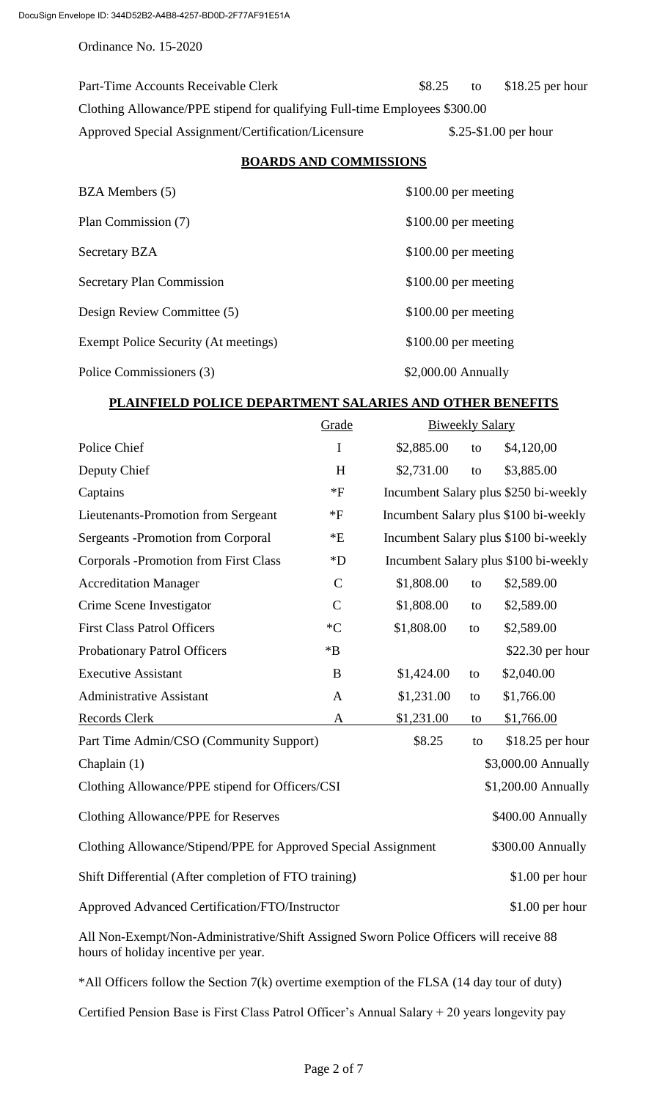Part-Time Accounts Receivable Clerk \$8.25 to \$18.25 per hour Clothing Allowance/PPE stipend for qualifying Full-time Employees \$300.00 Approved Special Assignment/Certification/Licensure \$.25-\$1.00 per hour

### **BOARDS AND COMMISSIONS**

| BZA Members (5)                      | $$100.00$ per meeting |
|--------------------------------------|-----------------------|
| Plan Commission (7)                  | \$100.00 per meeting  |
| <b>Secretary BZA</b>                 | $$100.00$ per meeting |
| Secretary Plan Commission            | $$100.00$ per meeting |
| Design Review Committee (5)          | $$100.00$ per meeting |
| Exempt Police Security (At meetings) | $$100.00$ per meeting |
| Police Commissioners (3)             | $$2,000.00$ Annually  |

# **PLAINFIELD POLICE DEPARTMENT SALARIES AND OTHER BENEFITS**

|                                                                | Grade                | <b>Biweekly Salary</b> |    |                                       |
|----------------------------------------------------------------|----------------------|------------------------|----|---------------------------------------|
| Police Chief                                                   | $\mathbf I$          | \$2,885.00             | to | \$4,120,00                            |
| Deputy Chief                                                   | H                    | \$2,731.00             | to | \$3,885.00                            |
| Captains                                                       | $*F$                 |                        |    | Incumbent Salary plus \$250 bi-weekly |
| Lieutenants-Promotion from Sergeant                            | $*F$                 |                        |    | Incumbent Salary plus \$100 bi-weekly |
| <b>Sergeants -Promotion from Corporal</b>                      | $\rm ^{\ast}E$       |                        |    | Incumbent Salary plus \$100 bi-weekly |
| <b>Corporals -Promotion from First Class</b>                   | $\rm ^*D$            |                        |    | Incumbent Salary plus \$100 bi-weekly |
| <b>Accreditation Manager</b>                                   | $\mathbf C$          | \$1,808.00             | to | \$2,589.00                            |
| Crime Scene Investigator                                       | $\mathsf{C}$         | \$1,808.00             | to | \$2,589.00                            |
| <b>First Class Patrol Officers</b>                             | ${}^*C$              | \$1,808.00             | to | \$2,589.00                            |
| <b>Probationary Patrol Officers</b>                            | $\mathbf{^{\ast }B}$ |                        |    | \$22.30 per hour                      |
| <b>Executive Assistant</b>                                     | B                    | \$1,424.00             | to | \$2,040.00                            |
| <b>Administrative Assistant</b>                                | $\mathbf{A}$         | \$1,231.00             | to | \$1,766.00                            |
| <b>Records Clerk</b>                                           | $\mathbf{A}$         | \$1,231.00             | to | \$1,766.00                            |
| Part Time Admin/CSO (Community Support)                        |                      | \$8.25                 | to | \$18.25 per hour                      |
| Chaplain (1)                                                   |                      |                        |    | \$3,000.00 Annually                   |
| Clothing Allowance/PPE stipend for Officers/CSI                |                      |                        |    | \$1,200.00 Annually                   |
| <b>Clothing Allowance/PPE for Reserves</b>                     |                      |                        |    | \$400.00 Annually                     |
| Clothing Allowance/Stipend/PPE for Approved Special Assignment |                      |                        |    | \$300.00 Annually                     |
| Shift Differential (After completion of FTO training)          |                      |                        |    | $$1.00$ per hour                      |
| Approved Advanced Certification/FTO/Instructor                 |                      |                        |    | $$1.00$ per hour                      |
| $\cdot$ 11<br>$\cdot$ 00                                       |                      |                        |    |                                       |

All Non-Exempt/Non-Administrative/Shift Assigned Sworn Police Officers will receive 88 hours of holiday incentive per year.

\*All Officers follow the Section 7(k) overtime exemption of the FLSA (14 day tour of duty)

Certified Pension Base is First Class Patrol Officer's Annual Salary + 20 years longevity pay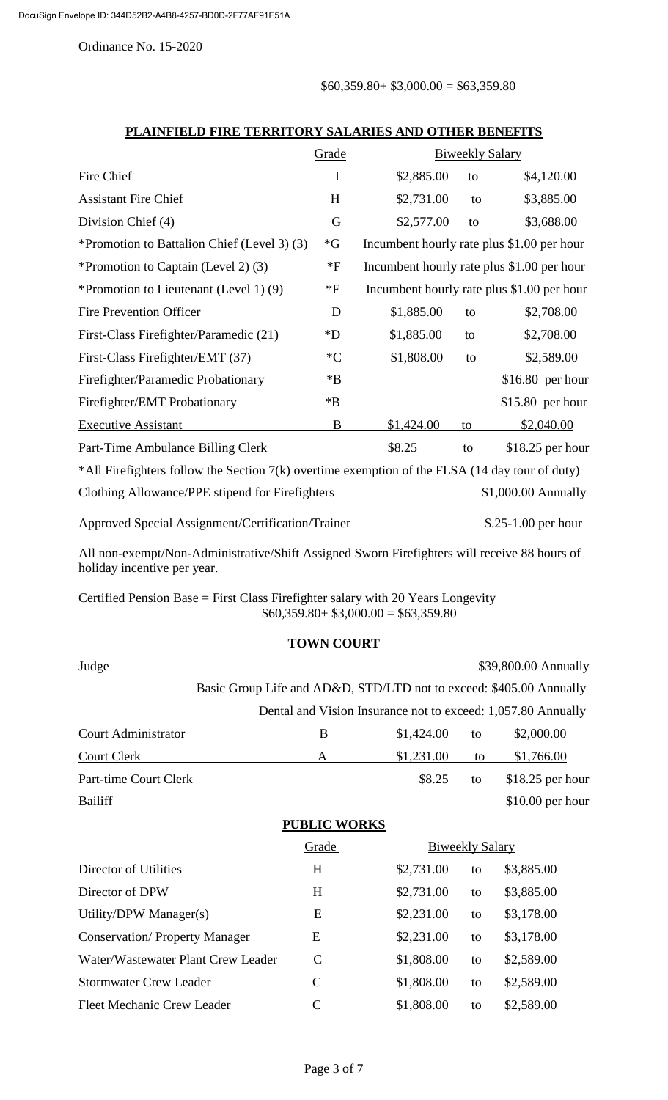$$60,359.80+ $3,000.00 = $63,359.80$ 

|                                                                                                                             | Grade              |            | <b>Biweekly Salary</b> |                                            |  |
|-----------------------------------------------------------------------------------------------------------------------------|--------------------|------------|------------------------|--------------------------------------------|--|
| Fire Chief                                                                                                                  | I                  | \$2,885.00 | to                     | \$4,120.00                                 |  |
| <b>Assistant Fire Chief</b>                                                                                                 | H                  | \$2,731.00 | to                     | \$3,885.00                                 |  |
| Division Chief (4)                                                                                                          | G                  | \$2,577.00 | to                     | \$3,688.00                                 |  |
| *Promotion to Battalion Chief (Level 3) (3)                                                                                 | $\mathbf{G}^*$     |            |                        | Incumbent hourly rate plus \$1.00 per hour |  |
| *Promotion to Captain (Level 2) (3)                                                                                         | $*_{\rm F}$        |            |                        | Incumbent hourly rate plus \$1.00 per hour |  |
| *Promotion to Lieutenant (Level 1) (9)                                                                                      | $*F$               |            |                        | Incumbent hourly rate plus \$1.00 per hour |  |
| <b>Fire Prevention Officer</b>                                                                                              | D                  | \$1,885.00 | to                     | \$2,708.00                                 |  |
| First-Class Firefighter/Paramedic (21)                                                                                      | $\boldsymbol{D}^*$ | \$1,885.00 | to                     | \$2,708.00                                 |  |
| First-Class Firefighter/EMT (37)                                                                                            | $C^*C$             | \$1,808.00 | to                     | \$2,589.00                                 |  |
| Firefighter/Paramedic Probationary                                                                                          | $*B$               |            |                        | $$16.80$ per hour                          |  |
| Firefighter/EMT Probationary                                                                                                | $*B$               |            |                        | $$15.80$ per hour                          |  |
| <b>Executive Assistant</b>                                                                                                  | $\bf{B}$           | \$1,424.00 | to                     | \$2,040.00                                 |  |
| Part-Time Ambulance Billing Clerk                                                                                           |                    | \$8.25     | to                     | $$18.25$ per hour                          |  |
| *All Firefighters follow the Section 7(k) overtime exemption of the FLSA (14 day tour of duty)                              |                    |            |                        |                                            |  |
| Clothing Allowance/PPE stipend for Firefighters                                                                             |                    |            |                        | \$1,000.00 Annually                        |  |
| Approved Special Assignment/Certification/Trainer                                                                           |                    |            |                        | $$.25-1.00$ per hour                       |  |
| All non-exempt/Non-Administrative/Shift Assigned Sworn Firefighters will receive 88 hours of<br>holiday incentive per year. |                    |            |                        |                                            |  |

#### **PLAINFIELD FIRE TERRITORY SALARIES AND OTHER BENEFITS**

Certified Pension Base = First Class Firefighter salary with 20 Years Longevity  $$60,359.80+ $3,000.00 = $63,359.80$ 

## **TOWN COURT**

|               |                                    |                     | \$39,800.00 Annually                                                                                                                                          |
|---------------|------------------------------------|---------------------|---------------------------------------------------------------------------------------------------------------------------------------------------------------|
|               |                                    |                     |                                                                                                                                                               |
|               |                                    |                     |                                                                                                                                                               |
| B             | \$1,424.00                         | to                  | \$2,000.00                                                                                                                                                    |
| A             | \$1,231.00                         | to                  | \$1,766.00                                                                                                                                                    |
|               | \$8.25                             | to                  | $$18.25$ per hour                                                                                                                                             |
|               |                                    |                     | \$10.00 per hour                                                                                                                                              |
|               |                                    |                     |                                                                                                                                                               |
| Grade         |                                    |                     |                                                                                                                                                               |
| H             | \$2,731.00                         | to                  | \$3,885.00                                                                                                                                                    |
| H             | \$2,731.00                         | to                  | \$3,885.00                                                                                                                                                    |
| E             | \$2,231.00                         | to                  | \$3,178.00                                                                                                                                                    |
| E             | \$2,231.00                         | to                  | \$3,178.00                                                                                                                                                    |
| $\mathcal{C}$ | \$1,808.00                         | to                  | \$2,589.00                                                                                                                                                    |
| $\mathcal{C}$ | \$1,808.00                         | to                  | \$2,589.00                                                                                                                                                    |
| $\mathcal{C}$ | \$1,808.00                         | to                  | \$2,589.00                                                                                                                                                    |
|               | Water/Wastewater Plant Crew Leader | <b>PUBLIC WORKS</b> | Basic Group Life and AD&D, STD/LTD not to exceed: \$405.00 Annually<br>Dental and Vision Insurance not to exceed: 1,057.80 Annually<br><b>Biweekly Salary</b> |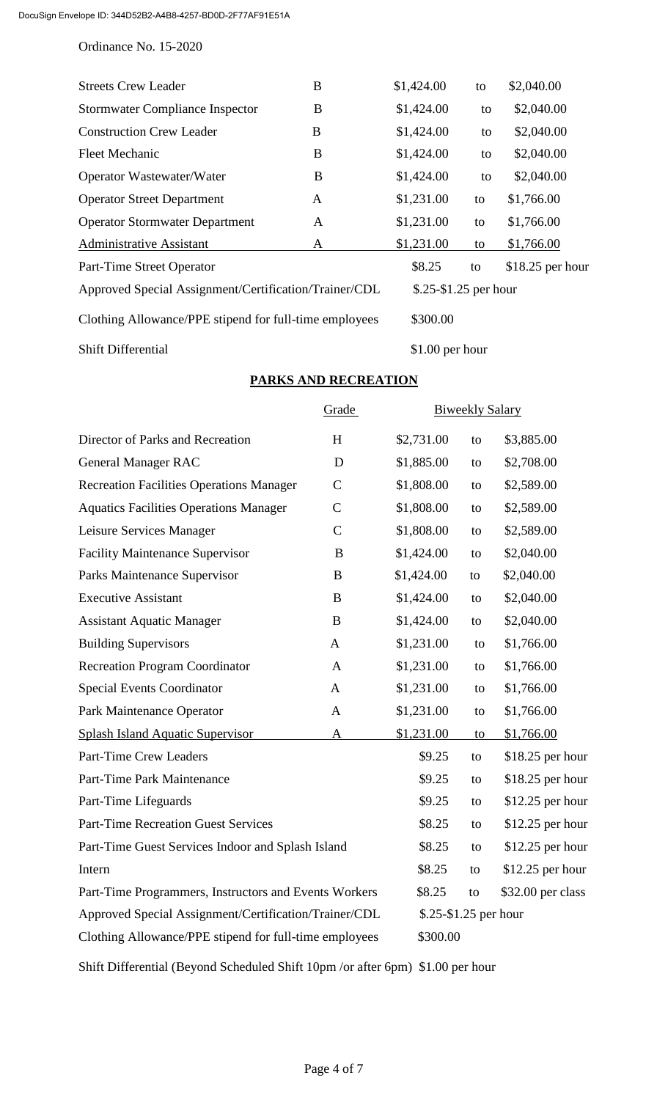| <b>Streets Crew Leader</b>                             | B | \$1,424.00              | to | \$2,040.00        |
|--------------------------------------------------------|---|-------------------------|----|-------------------|
| <b>Stormwater Compliance Inspector</b>                 | B | \$1,424.00              | to | \$2,040.00        |
| <b>Construction Crew Leader</b>                        | B | \$1,424.00              | to | \$2,040.00        |
| <b>Fleet Mechanic</b>                                  | B | \$1,424.00              | to | \$2,040.00        |
| Operator Wastewater/Water                              | B | \$1,424.00              | to | \$2,040.00        |
| <b>Operator Street Department</b>                      | A | \$1,231.00              | to | \$1,766.00        |
| <b>Operator Stormwater Department</b>                  | A | \$1,231.00              | to | \$1,766.00        |
| <b>Administrative Assistant</b>                        | A | \$1,231.00              | to | \$1,766.00        |
| Part-Time Street Operator                              |   | \$8.25                  | to | $$18.25$ per hour |
| Approved Special Assignment/Certification/Trainer/CDL  |   | $$.25 - $1.25$ per hour |    |                   |
| Clothing Allowance/PPE stipend for full-time employees |   | \$300.00                |    |                   |
| <b>Shift Differential</b>                              |   | $$1.00$ per hour        |    |                   |

# **PARKS AND RECREATION**

|                                                        | Grade         |                       | <b>Biweekly Salary</b> |                   |
|--------------------------------------------------------|---------------|-----------------------|------------------------|-------------------|
| Director of Parks and Recreation                       | H             | \$2,731.00            | to                     | \$3,885.00        |
| <b>General Manager RAC</b>                             | D             | \$1,885.00            | to                     | \$2,708.00        |
| <b>Recreation Facilities Operations Manager</b>        | $\mathsf{C}$  | \$1,808.00            | to                     | \$2,589.00        |
| <b>Aquatics Facilities Operations Manager</b>          | $\mathbf C$   | \$1,808.00            | to                     | \$2,589.00        |
| Leisure Services Manager                               | $\mathcal{C}$ | \$1,808.00            | to                     | \$2,589.00        |
| <b>Facility Maintenance Supervisor</b>                 | B             | \$1,424.00            | to                     | \$2,040.00        |
| Parks Maintenance Supervisor                           | B             | \$1,424.00            | to                     | \$2,040.00        |
| <b>Executive Assistant</b>                             | B             | \$1,424.00            | to                     | \$2,040.00        |
| <b>Assistant Aquatic Manager</b>                       | B             | \$1,424.00            | to                     | \$2,040.00        |
| <b>Building Supervisors</b>                            | A             | \$1,231.00            | to                     | \$1,766.00        |
| <b>Recreation Program Coordinator</b>                  | $\mathbf{A}$  | \$1,231.00            | to                     | \$1,766.00        |
| <b>Special Events Coordinator</b>                      | A             | \$1,231.00            | to                     | \$1,766.00        |
| Park Maintenance Operator                              | A             | \$1,231.00            | to                     | \$1,766.00        |
| <b>Splash Island Aquatic Supervisor</b>                | $\mathbf{A}$  | \$1,231.00            | to                     | \$1,766.00        |
| <b>Part-Time Crew Leaders</b>                          |               | \$9.25                | to                     | \$18.25 per hour  |
| Part-Time Park Maintenance                             |               | \$9.25                | to                     | \$18.25 per hour  |
| Part-Time Lifeguards                                   |               | \$9.25                | to                     | \$12.25 per hour  |
| <b>Part-Time Recreation Guest Services</b>             |               | \$8.25                | to                     | \$12.25 per hour  |
| Part-Time Guest Services Indoor and Splash Island      |               | \$8.25                | to                     | $$12.25$ per hour |
| Intern                                                 |               | \$8.25                | to                     | $$12.25$ per hour |
| Part-Time Programmers, Instructors and Events Workers  |               | \$8.25                | to                     | \$32.00 per class |
| Approved Special Assignment/Certification/Trainer/CDL  |               | \$.25-\$1.25 per hour |                        |                   |
| Clothing Allowance/PPE stipend for full-time employees |               | \$300.00              |                        |                   |

Shift Differential (Beyond Scheduled Shift 10pm /or after 6pm) \$1.00 per hour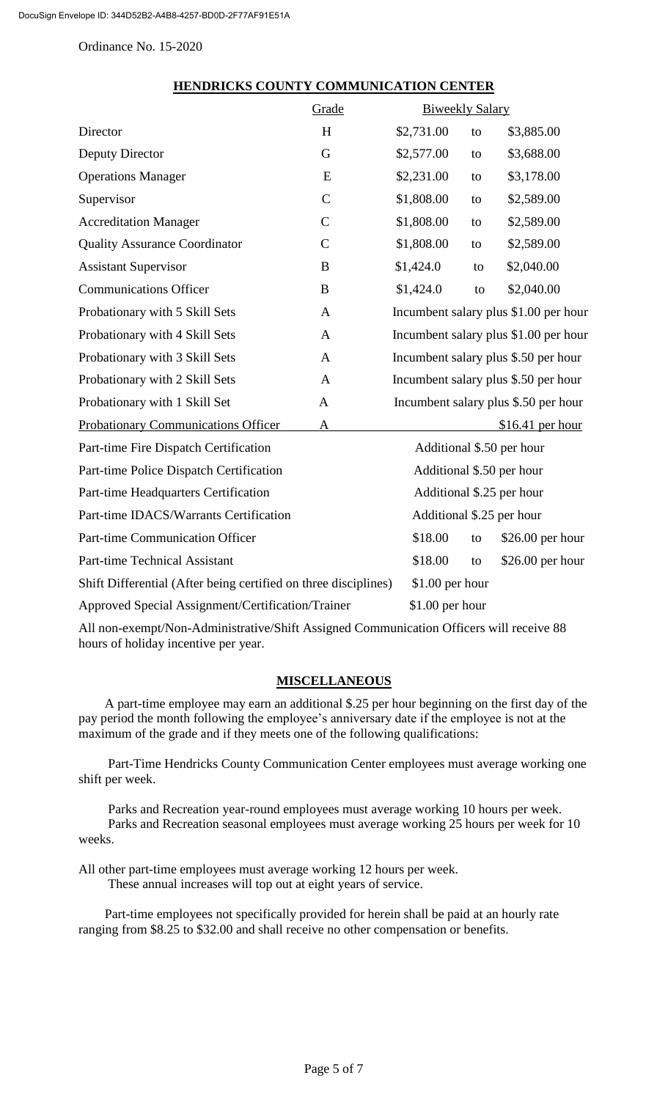|                                                                 | Grade         | <b>Biweekly Salary</b> |                                       |                                       |
|-----------------------------------------------------------------|---------------|------------------------|---------------------------------------|---------------------------------------|
| Director                                                        | H             | \$2,731.00             | to                                    | \$3,885.00                            |
| Deputy Director                                                 | G             | \$2,577.00             | to                                    | \$3,688.00                            |
| <b>Operations Manager</b>                                       | E             | \$2,231.00             | to                                    | \$3,178.00                            |
| Supervisor                                                      | $\mathcal{C}$ | \$1,808.00             | to                                    | \$2,589.00                            |
| <b>Accreditation Manager</b>                                    | $\mathsf{C}$  | \$1,808.00             | to                                    | \$2,589.00                            |
| <b>Quality Assurance Coordinator</b>                            | $\mathbf C$   | \$1,808.00             | to                                    | \$2,589.00                            |
| <b>Assistant Supervisor</b>                                     | B             | \$1,424.0              | to                                    | \$2,040.00                            |
| <b>Communications Officer</b>                                   | B             | \$1,424.0              | to                                    | \$2,040.00                            |
| Probationary with 5 Skill Sets                                  | $\mathbf{A}$  |                        | Incumbent salary plus \$1.00 per hour |                                       |
| Probationary with 4 Skill Sets                                  | A             |                        |                                       | Incumbent salary plus \$1.00 per hour |
| Probationary with 3 Skill Sets                                  | A             |                        |                                       | Incumbent salary plus \$.50 per hour  |
| Probationary with 2 Skill Sets                                  | A             |                        |                                       | Incumbent salary plus \$.50 per hour  |
| Probationary with 1 Skill Set                                   | A             |                        |                                       | Incumbent salary plus \$.50 per hour  |
| <b>Probationary Communications Officer</b>                      | A             |                        |                                       | $$16.41$ per hour                     |
| Part-time Fire Dispatch Certification                           |               |                        |                                       | Additional \$.50 per hour             |
| Part-time Police Dispatch Certification                         |               |                        |                                       | Additional \$.50 per hour             |
| Part-time Headquarters Certification                            |               |                        |                                       | Additional \$.25 per hour             |
| Part-time IDACS/Warrants Certification                          |               |                        |                                       | Additional \$.25 per hour             |
| <b>Part-time Communication Officer</b>                          |               | \$18.00                | to                                    | $$26.00$ per hour                     |
| <b>Part-time Technical Assistant</b>                            |               | \$18.00                | to                                    | $$26.00$ per hour                     |
| Shift Differential (After being certified on three disciplines) |               | $$1.00$ per hour       |                                       |                                       |
| Approved Special Assignment/Certification/Trainer               |               | $$1.00$ per hour       |                                       |                                       |

#### **HENDRICKS COUNTY COMMUNICATION CENTER**

All non-exempt/Non-Administrative/Shift Assigned Communication Officers will receive 88 hours of holiday incentive per year.

## **MISCELLANEOUS**

A part-time employee may earn an additional \$.25 per hour beginning on the first day of the pay period the month following the employee's anniversary date if the employee is not at the maximum of the grade and if they meets one of the following qualifications:

Part-Time Hendricks County Communication Center employees must average working one shift per week.

Parks and Recreation year-round employees must average working 10 hours per week. Parks and Recreation seasonal employees must average working 25 hours per week for 10 weeks.

All other part-time employees must average working 12 hours per week. These annual increases will top out at eight years of service.

 Part-time employees not specifically provided for herein shall be paid at an hourly rate ranging from \$8.25 to \$32.00 and shall receive no other compensation or benefits.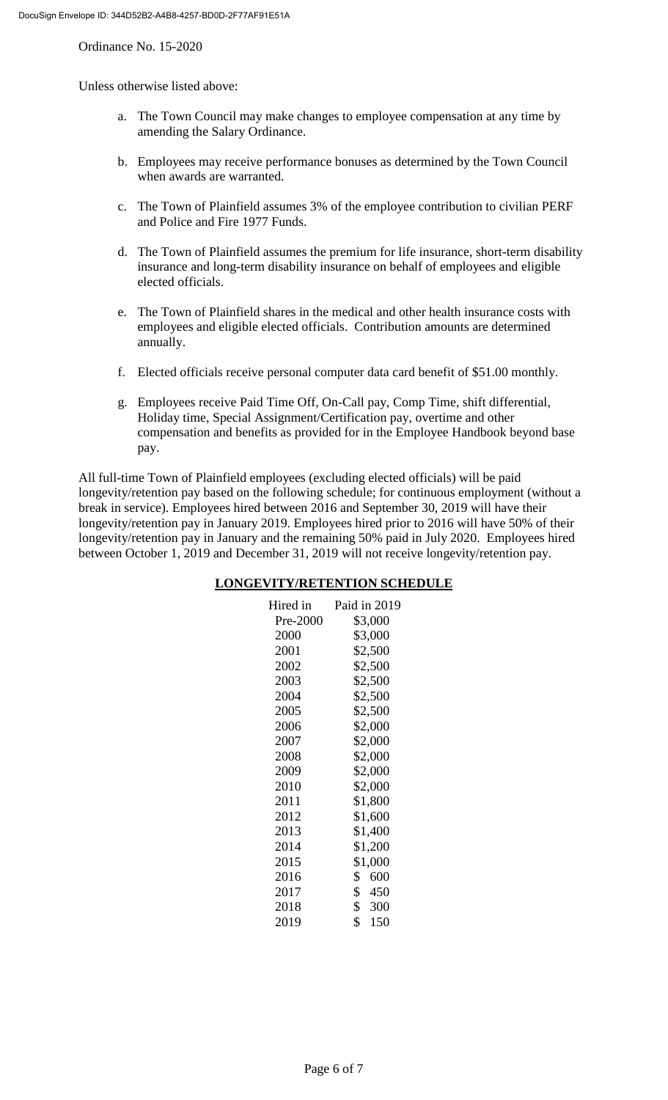Unless otherwise listed above:

- a. The Town Council may make changes to employee compensation at any time by amending the Salary Ordinance.
- b. Employees may receive performance bonuses as determined by the Town Council when awards are warranted.
- c. The Town of Plainfield assumes 3% of the employee contribution to civilian PERF and Police and Fire 1977 Funds.
- d. The Town of Plainfield assumes the premium for life insurance, short-term disability insurance and long-term disability insurance on behalf of employees and eligible elected officials.
- e. The Town of Plainfield shares in the medical and other health insurance costs with employees and eligible elected officials. Contribution amounts are determined annually.
- f. Elected officials receive personal computer data card benefit of \$51.00 monthly.
- g. Employees receive Paid Time Off, On-Call pay, Comp Time, shift differential, Holiday time, Special Assignment/Certification pay, overtime and other compensation and benefits as provided for in the Employee Handbook beyond base pay.

All full-time Town of Plainfield employees (excluding elected officials) will be paid longevity/retention pay based on the following schedule; for continuous employment (without a break in service). Employees hired between 2016 and September 30, 2019 will have their longevity/retention pay in January 2019. Employees hired prior to 2016 will have 50% of their longevity/retention pay in January and the remaining 50% paid in July 2020. Employees hired between October 1, 2019 and December 31, 2019 will not receive longevity/retention pay.

#### **LONGEVITY/RETENTION SCHEDULE**

| Paid in 2019 |
|--------------|
| \$3,000      |
| \$3,000      |
| \$2,500      |
| \$2,500      |
| \$2,500      |
| \$2,500      |
| \$2,500      |
| \$2,000      |
| \$2,000      |
| \$2,000      |
| \$2,000      |
| \$2,000      |
| \$1,800      |
| \$1,600      |
| \$1,400      |
| \$1,200      |
| \$1,000      |
| \$<br>600    |
| \$450        |
| \$300        |
| \$<br>150    |
|              |